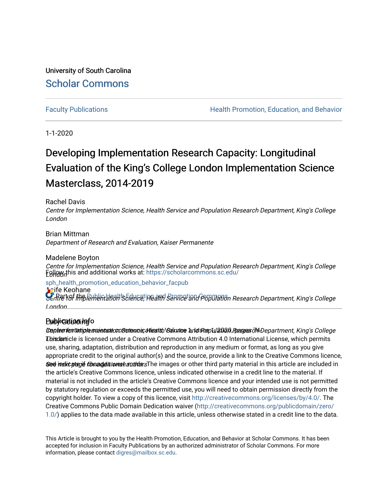University of South Carolina [Scholar Commons](https://scholarcommons.sc.edu/) 

[Faculty Publications](https://scholarcommons.sc.edu/sph_health_promotion_education_behavior_facpub) **Health Promotion, Education, and Behavior Health Promotion, Education, and Behavior** 

1-1-2020

# Developing Implementation Research Capacity: Longitudinal Evaluation of the King's College London Implementation Science Masterclass, 2014-2019

## Rachel Davis

Centre for Implementation Science, Health Service and Population Research Department, King's College London

## Brian Mittman Department of Research and Evaluation, Kaiser Permanente

## Madelene Boyton

Centre for Implementation Science, Health Service and Population Research Department, King's College **Follow,this and additional works at:** [https://scholarcommons.sc.edu/](https://scholarcommons.sc.edu/sph_health_promotion_education_behavior_facpub?utm_source=scholarcommons.sc.edu%2Fsph_health_promotion_education_behavior_facpub%2F354&utm_medium=PDF&utm_campaign=PDFCoverPages)

### Aoife Keohane [sph\\_health\\_promotion\\_education\\_behavior\\_facpub](https://scholarcommons.sc.edu/sph_health_promotion_education_behavior_facpub?utm_source=scholarcommons.sc.edu%2Fsph_health_promotion_education_behavior_facpub%2F354&utm_medium=PDF&utm_campaign=PDFCoverPages)

Centre for the Public Healt's Education and Service and Population Research Department, King's College London

## Publication info

Depteenfentatiphe socientatio consumentic, Hiearlth Voelturione 1and Roepulation, Reseases 714 Department, King's College Tbix article is licensed under a Creative Commons Attribution 4.0 International License, which permits **aed insicategie changes were made. The** images or other third party material in this article are included in use, sharing, adaptation, distribution and reproduction in any medium or format, as long as you give appropriate credit to the original author(s) and the source, provide a link to the Creative Commons licence, the article's Creative Commons licence, unless indicated otherwise in a credit line to the material. If material is not included in the article's Creative Commons licence and your intended use is not permitted by statutory regulation or exceeds the permitted use, you will need to obtain permission directly from the copyright holder. To view a copy of this licence, visit [http://creativecommons.org/licenses/by/4.0/.](http://creativecommons.org/licenses/by/4.0/) The Creative Commons Public Domain Dedication waiver ([http://creativecommons.org/publicdomain/zero/](http://creativecommons.org/publicdomain/zero/1.0/) [1.0/\)](http://creativecommons.org/publicdomain/zero/1.0/) applies to the data made available in this article, unless otherwise stated in a credit line to the data.

This Article is brought to you by the Health Promotion, Education, and Behavior at Scholar Commons. It has been accepted for inclusion in Faculty Publications by an authorized administrator of Scholar Commons. For more information, please contact [digres@mailbox.sc.edu.](mailto:digres@mailbox.sc.edu)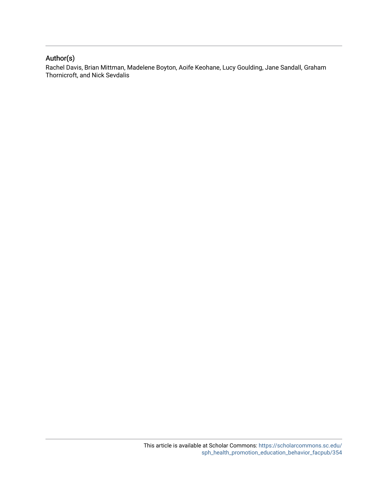## Author(s)

Rachel Davis, Brian Mittman, Madelene Boyton, Aoife Keohane, Lucy Goulding, Jane Sandall, Graham Thornicroft, and Nick Sevdalis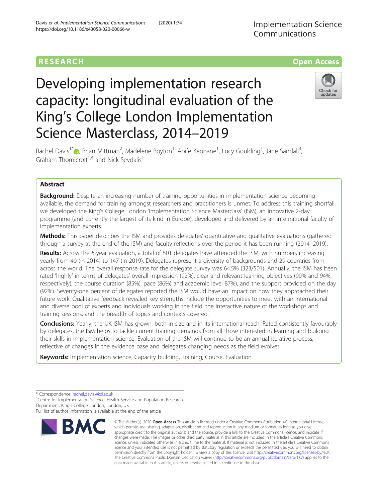## **RESEARCH CHE Open Access**

# Developing implementation research capacity: longitudinal evaluation of the King's College London Implementation Science Masterclass, 2014–2019



Rachel Davis<sup>1\*</sup>®[,](http://orcid.org/0000-0003-2406-7181) Brian Mittman<sup>2</sup>, Madelene Boyton<sup>1</sup>, Aoife Keohane<sup>1</sup>, Lucy Goulding<sup>1</sup>, Jane Sandall<sup>3</sup> , Graham Thornicroft<sup>1,4</sup> and Nick Sevdalis<sup>1</sup>

## Abstract

**Background:** Despite an increasing number of training opportunities in implementation science becoming available, the demand for training amongst researchers and practitioners is unmet. To address this training shortfall, we developed the King's College London 'Implementation Science Masterclass' (ISM), an innovative 2-day programme (and currently the largest of its kind in Europe), developed and delivered by an international faculty of implementation experts.

Methods: This paper describes the ISM and provides delegates' quantitative and qualitative evaluations (gathered through a survey at the end of the ISM) and faculty reflections over the period it has been running (2014–2019).

Results: Across the 6-year evaluation, a total of 501 delegates have attended the ISM, with numbers increasing yearly from 40 (in 2014) to 147 (in 2019). Delegates represent a diversity of backgrounds and 29 countries from across the world. The overall response rate for the delegate survey was 64.5% (323/501). Annually, the ISM has been rated 'highly' in terms of delegates' overall impression (92%), clear and relevant learning objectives (90% and 94%, respectively), the course duration (85%), pace (86%) and academic level 87%), and the support provided on the day (92%). Seventy-one percent of delegates reported the ISM would have an impact on how they approached their future work. Qualitative feedback revealed key strengths include the opportunities to meet with an international and diverse pool of experts and individuals working in the field, the interactive nature of the workshops and training sessions, and the breadth of topics and contexts covered.

**Conclusions:** Yearly, the UK ISM has grown, both in size and in its international reach. Rated consistently favourably by delegates, the ISM helps to tackle current training demands from all those interested in learning and building their skills in implementation science. Evaluation of the ISM will continue to be an annual iterative process, reflective of changes in the evidence base and delegates changing needs as the field evolves.

Keywords: Implementation science, Capacity building, Training, Course, Evaluation

\* Correspondence: [rachel.davis@kcl.ac.uk](mailto:rachel.davis@kcl.ac.uk) <sup>1</sup>

<sup>1</sup> Centre for Implementation Science, Health Service and Population Research Department, King's College London, London, UK

Full list of author information is available at the end of the article



<sup>©</sup> The Author(s), 2020 **Open Access** This article is licensed under a Creative Commons Attribution 4.0 International License, which permits use, sharing, adaptation, distribution and reproduction in any medium or format, as long as you give appropriate credit to the original author(s) and the source, provide a link to the Creative Commons licence, and indicate if changes were made. The images or other third party material in this article are included in the article's Creative Commons licence, unless indicated otherwise in a credit line to the material. If material is not included in the article's Creative Commons licence and your intended use is not permitted by statutory regulation or exceeds the permitted use, you will need to obtain permission directly from the copyright holder. To view a copy of this licence, visit [http://creativecommons.org/licenses/by/4.0/.](http://creativecommons.org/licenses/by/4.0/) The Creative Commons Public Domain Dedication waiver [\(http://creativecommons.org/publicdomain/zero/1.0/](http://creativecommons.org/publicdomain/zero/1.0/)) applies to the data made available in this article, unless otherwise stated in a credit line to the data.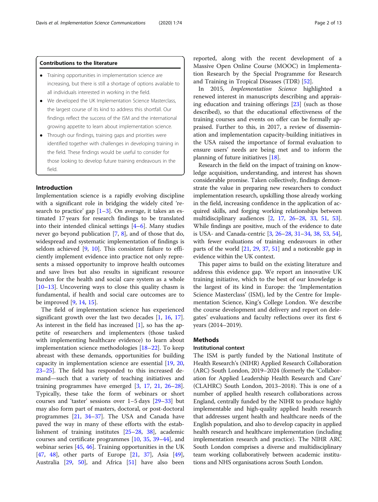#### Contributions to the literature

- Training opportunities in implementation science are increasing, but there is still a shortage of options available to all individuals interested in working in the field.
- We developed the UK Implementation Science Masterclass, the largest course of its kind to address this shortfall. Our findings reflect the success of the ISM and the international growing appetite to learn about implementation science.
- Through our findings, training gaps and priorities were identified together with challenges in developing training in the field. These findings would be useful to consider for those looking to develop future training endeavours in the field.

#### Introduction

Implementation science is a rapidly evolving discipline with a significant role in bridging the widely cited 'research to practice' gap  $[1-3]$  $[1-3]$  $[1-3]$  $[1-3]$ . On average, it takes an estimated 17 years for research findings to be translated into their intended clinical settings [\[4](#page-12-0)–[6\]](#page-12-0). Many studies never go beyond publication [[7](#page-12-0), [8\]](#page-12-0), and of those that do, widespread and systematic implementation of findings is seldom achieved [[9,](#page-12-0) [10](#page-12-0)]. This consistent failure to efficiently implement evidence into practice not only represents a missed opportunity to improve health outcomes and save lives but also results in significant resource burden for the health and social care system as a whole [[10](#page-12-0)–[13](#page-12-0)]. Uncovering ways to close this quality chasm is fundamental, if health and social care outcomes are to be improved [\[9,](#page-12-0) [14,](#page-12-0) [15\]](#page-12-0).

The field of implementation science has experienced significant growth over the last two decades [[1,](#page-12-0) [16](#page-12-0), [17](#page-12-0)]. As interest in the field has increased [\[1](#page-12-0)], so has the appetite of researchers and implementers (those tasked with implementing healthcare evidence) to learn about implementation science methodologies [[18](#page-12-0)–[22](#page-12-0)]. To keep abreast with these demands, opportunities for building capacity in implementation science are essential [\[19,](#page-12-0) [20](#page-12-0), [23](#page-12-0)–[25](#page-13-0)]. The field has responded to this increased demand—such that a variety of teaching initiatives and training programmes have emerged [[3,](#page-12-0) [17](#page-12-0), [21,](#page-12-0) [26](#page-13-0)–[28](#page-13-0)]. Typically, these take the form of webinars or short courses and 'taster' sessions over 1–5 days [[29](#page-13-0)–[33](#page-13-0)] but may also form part of masters, doctoral, or post-doctoral programmes [[21](#page-12-0), [34](#page-13-0)–[37](#page-13-0)]. The USA and Canada have paved the way in many of these efforts with the establishment of training institutes [\[25](#page-13-0)–[28,](#page-13-0) [38](#page-13-0)], academic courses and certificate programmes [\[10](#page-12-0), [35,](#page-13-0) [39](#page-13-0)–[44\]](#page-13-0), and webinar series [[45,](#page-13-0) [46\]](#page-13-0). Training opportunities in the UK [[47,](#page-13-0) [48](#page-13-0)], other parts of Europe [\[21,](#page-12-0) [37](#page-13-0)], Asia [\[49](#page-13-0)], Australia [[29,](#page-13-0) [50\]](#page-13-0), and Africa [\[51](#page-13-0)] have also been

reported, along with the recent development of a Massive Open Online Course (MOOC) in Implementation Research by the Special Programme for Research and Training in Tropical Diseases (TDR) [[52](#page-13-0)].

In 2015, Implementation Science highlighted a renewed interest in manuscripts describing and appraising education and training offerings [\[23\]](#page-12-0) (such as those described), so that the educational effectiveness of the training courses and events on offer can be formally appraised. Further to this, in 2017, a review of dissemination and implementation capacity-building initiatives in the USA raised the importance of formal evaluation to ensure users' needs are being met and to inform the planning of future initiatives [\[18\]](#page-12-0).

Research in the field on the impact of training on knowledge acquisition, understanding, and interest has shown considerable promise. Taken collectively, findings demonstrate the value in preparing new researchers to conduct implementation research, upskilling those already working in the field, increasing confidence in the application of acquired skills, and forging working relationships between multidisciplinary audiences [\[2](#page-12-0), [17,](#page-12-0) [26](#page-13-0)–[28,](#page-13-0) [33](#page-13-0), [51,](#page-13-0) [53](#page-13-0)]. While findings are positive, much of the evidence to date is USA- and Canada-centric [\[3,](#page-12-0) [26](#page-13-0)–[28,](#page-13-0) [31](#page-13-0)–[34](#page-13-0), [38,](#page-13-0) [53,](#page-13-0) [54](#page-13-0)], with fewer evaluations of training endeavours in other parts of the world [[21](#page-12-0), [29](#page-13-0), [37](#page-13-0), [51\]](#page-13-0) and a noticeable gap in evidence within the UK context.

This paper aims to build on the existing literature and address this evidence gap. We report an innovative UK training initiative, which to the best of our knowledge is the largest of its kind in Europe: the 'Implementation Science Masterclass' (ISM), led by the Centre for Implementation Science, King's College London. We describe the course development and delivery and report on delegates' evaluations and faculty reflections over its first 6 years (2014–2019).

#### **Methods**

#### Institutional context

The ISM is partly funded by the National Institute of Health Research's (NIHR) Applied Research Collaboration (ARC) South London, 2019–2024 (formerly the 'Collaboration for Applied Leadership Health Research and Care' (CLAHRC) South London, 2013–2018). This is one of a number of applied health research collaborations across England, centrally funded by the NIHR to produce highly implementable and high-quality applied health research that addresses urgent health and healthcare needs of the English population, and also to develop capacity in applied health research and healthcare implementation (including implementation research and practice). The NIHR ARC South London comprises a diverse and multidisciplinary team working collaboratively between academic institutions and NHS organisations across South London.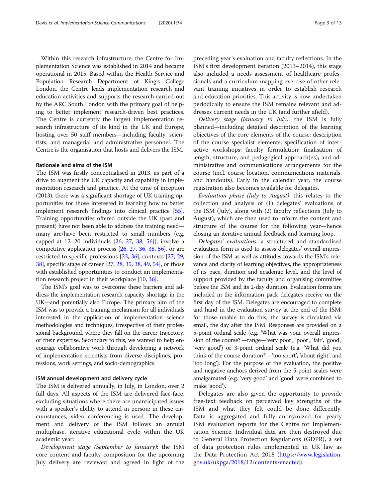Within this research infrastructure, the Centre for Implementation Science was established in 2014 and became operational in 2015. Based within the Health Service and Population Research Department of King's College London, the Centre leads implementation research and education activities and supports the research carried out by the ARC South London with the primary goal of helping to better implement research-driven best practices. The Centre is currently the largest implementation research infrastructure of its kind in the UK and Europe, hosting over 50 staff members—including faculty, scientists, and managerial and administrative personnel. The Centre is the organisation that hosts and delivers the ISM.

#### Rationale and aims of the ISM

The ISM was firstly conceptualised in 2013, as part of a drive to augment the UK capacity and capability in implementation research and practice. At the time of inception (2013), there was a significant shortage of UK training opportunities for those interested in learning how to better implement research findings into clinical practice [[55](#page-13-0)]. Training opportunities offered outside the UK (past and present) have not been able to address the training need many are/have been restricted to small numbers (e.g. capped at 12–20 individuals [\[26,](#page-13-0) [27,](#page-13-0) [38](#page-13-0), [56](#page-13-0)]), involve a competitive application process [\[26](#page-13-0), [27,](#page-13-0) [36,](#page-13-0) [38](#page-13-0), [56](#page-13-0)], or are restricted to specific professions [[23](#page-12-0), [36](#page-13-0)], contexts [\[27,](#page-13-0) [29](#page-13-0), [38](#page-13-0)], specific stage of career [\[27,](#page-13-0) [28](#page-13-0), [35](#page-13-0), [38,](#page-13-0) [49,](#page-13-0) [54](#page-13-0)], or those with established opportunities to conduct an implementation research project in their workplace [[10](#page-12-0), [36\]](#page-13-0).

The ISM's goal was to overcome these barriers and address the implementation research capacity shortage in the UK—and potentially also Europe. The primary aim of the ISM was to provide a training mechanism for all individuals interested in the application of implementation science methodologies and techniques, irrespective of their professional background, where they fall on the career trajectory, or their expertise. Secondary to this, we wanted to help encourage collaborative work through developing a network of implementation scientists from diverse disciplines, professions, work settings, and socio-demographics.

#### ISM annual development and delivery cycle

The ISM is delivered annually, in July, in London, over 2 full days. All aspects of the ISM are delivered face-face, excluding situations where there are unanticipated issues with a speaker's ability to attend in person; in these circumstances, video conferencing is used. The development and delivery of the ISM follows an annual multiphase, iterative educational cycle within the UK academic year:

Development stage (September to January): the ISM core content and faculty composition for the upcoming July delivery are reviewed and agreed in light of the preceding year's evaluation and faculty reflections. In the ISM's first development iteration (2013–2014), this stage also included a needs assessment of healthcare professionals and a curriculum mapping exercise of other relevant training initiatives in order to establish research and education priorities. This activity is now undertaken periodically to ensure the ISM remains relevant and addresses current needs in the UK (and further afield).

Delivery stage (January to July): the ISM is fully planned—including detailed description of the learning objectives of the core elements of the course; description of the course specialist elements; specification of interactive workshops; faculty formulation; finalisation of length, structure, and pedagogical approach(es); and administrative and communications arrangements for the course (incl. course location, communications materials, and handouts). Early in the calendar year, the course registration also becomes available for delegates.

Evaluation phase (July to August): this relates to the collection and analysis of (1) delegates' evaluations of the ISM (July), along with (2) faculty reflections (July to August), which are then used to inform the content and structure of the course for the following year—hence closing an iterative annual feedback and learning loop.

Delegates' evaluations: a structured and standardised evaluation form is used to assess delegates' overall impression of the ISM as well as attitudes towards the ISM's relevance and clarity of learning objectives, the appropriateness of its pace, duration and academic level, and the level of support provided by the faculty and organising committee before the ISM and its 2-day duration. Evaluation forms are included in the information pack delegates receive on the first day of the ISM. Delegates are encouraged to complete and hand in the evaluation survey at the end of the ISM: for those unable to do this, the survey is circulated via email, the day after the ISM. Responses are provided on a 5-point ordinal scale (e.g. 'What was your overall impression of the course?'—range—'very poor', 'poor', 'fair', 'good', 'very good') or 3-point ordinal scale (e.g. 'What did you think of the course duration?'—'too short', 'about right', and 'too long'). For the purpose of the evaluation, the positive and negative anchors derived from the 5-point scales were amalgamated (e.g. 'very good' and 'good' were combined to make 'good').

Delegates are also given the opportunity to provide free-text feedback on perceived key strengths of the ISM and what they felt could be done differently. Data is aggregated and fully anonymized for yearly ISM evaluation reports for the Centre for Implementation Science. Individual data are then destroyed due to General Data Protection Regulations (GDPR), a set of data protection rules implemented in UK law as the Data Protection Act 2018 ([https://www.legislation.](https://www.legislation.gov.uk/ukpga/2018/12/contents/enacted) [gov.uk/ukpga/2018/12/contents/enacted\)](https://www.legislation.gov.uk/ukpga/2018/12/contents/enacted).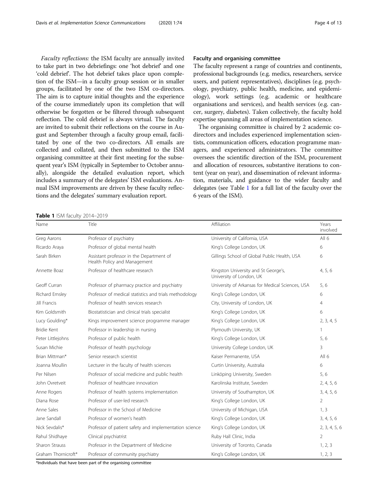Faculty reflections: the ISM faculty are annually invited to take part in two debriefings: one 'hot debrief' and one 'cold debrief'. The hot debrief takes place upon completion of the ISM—in a faculty group session or in smaller groups, facilitated by one of the two ISM co-directors. The aim is to capture initial thoughts and the experience of the course immediately upon its completion that will otherwise be forgotten or be filtered through subsequent reflection. The cold debrief is always virtual. The faculty are invited to submit their reflections on the course in August and September through a faculty group email, facilitated by one of the two co-directors. All emails are collected and collated, and then submitted to the ISM organising committee at their first meeting for the subsequent year's ISM (typically in September to October annually), alongside the detailed evaluation report, which includes a summary of the delegates' ISM evaluations. Annual ISM improvements are driven by these faculty reflections and the delegates' summary evaluation report.

Table 1 ISM faculty 2014-2019

#### Faculty and organising committee

The faculty represent a range of countries and continents, professional backgrounds (e.g. medics, researchers, service users, and patient representatives), disciplines (e.g. psychology, psychiatry, public health, medicine, and epidemiology), work settings (e.g. academic or healthcare organisations and services), and health services (e.g. cancer, surgery, diabetes). Taken collectively, the faculty hold expertise spanning all areas of implementation science.

The organising committee is chaired by 2 academic codirectors and includes experienced implementation scientists, communication officers, education programme managers, and experienced administrators. The committee oversees the scientific direction of the ISM, procurement and allocation of resources, substantive iterations to content (year on year), and dissemination of relevant information, materials, and guidance to the wider faculty and delegates (see Table 1 for a full list of the faculty over the 6 years of the ISM).

| Name                | Title                                                                    | Affiliation                                                      | Years<br>involved |
|---------------------|--------------------------------------------------------------------------|------------------------------------------------------------------|-------------------|
| Greg Aarons         | Professor of psychiatry                                                  | University of California, USA                                    | All 6             |
| Ricardo Araya       | Professor of global mental health                                        | King's College London, UK                                        | 6                 |
| Sarah Birken        | Assistant professor in the Department of<br>Health Policy and Management | Gillings School of Global Public Health, USA                     | 6                 |
| Annette Boaz        | Professor of healthcare research                                         | Kingston University and St George's,<br>University of London, UK | 4, 5, 6           |
| Geoff Curran        | Professor of pharmacy practice and psychiatry                            | University of Arkansas for Medical Sciences, USA                 | 5,6               |
| Richard Emsley      | Professor of medical statistics and trials methodology                   | King's College London, UK                                        | 6                 |
| Jill Francis        | Professor of health services research                                    | City, University of London, UK                                   | $\overline{4}$    |
| Kim Goldsmith       | Biostatistician and clinical trials specialist                           | King's College London, UK                                        | 6                 |
| Lucy Goulding*      | Kings improvement science programme manager                              | King's College London, UK                                        | 2, 3, 4, 5        |
| Bridie Kent         | Professor in leadership in nursing                                       | Plymouth University, UK                                          | 1                 |
| Peter Littlejohns   | Professor of public health                                               | King's College London, UK                                        | 5,6               |
| Susan Michie        | Professor of health psychology                                           | University College London, UK                                    | 3                 |
| Brian Mittman*      | Senior research scientist                                                | Kaiser Permanente, USA                                           | All $6$           |
| Joanna Moullin      | Lecturer in the faculty of health sciences                               | Curtin University, Australia                                     | 6                 |
| Per Nilsen          | Professor of social medicine and public health                           | Linköping University, Sweden                                     | 5,6               |
| John Ovretveit      | Professor of healthcare innovation                                       | Karolinska Institute, Sweden                                     | 2, 4, 5, 6        |
| Anne Rogers         | Professor of health systems implementation                               | University of Southampton, UK                                    | 3, 4, 5, 6        |
| Diana Rose          | Professor of user-led research                                           | King's College London, UK                                        | $\overline{2}$    |
| Anne Sales          | Professor in the School of Medicine                                      | University of Michigan, USA                                      | 1, 3              |
| Jane Sandall        | Professor of women's health                                              | King's College London, UK                                        | 3, 4, 5, 6        |
| Nick Sevdalis*      | Professor of patient safety and implementation science                   | King's College London, UK                                        | 2, 3, 4, 5, 6     |
| Rahul Shidhaye      | Clinical psychiatrist                                                    | Ruby Hall Clinic, India                                          | 2                 |
| Sharon Strauss      | Professor in the Department of Medicine                                  | University of Toronto, Canada                                    | 1, 2, 3           |
| Graham Thornicroft* | Professor of community psychiatry                                        | King's College London, UK                                        | 1, 2, 3           |

\*Individuals that have been part of the organising committee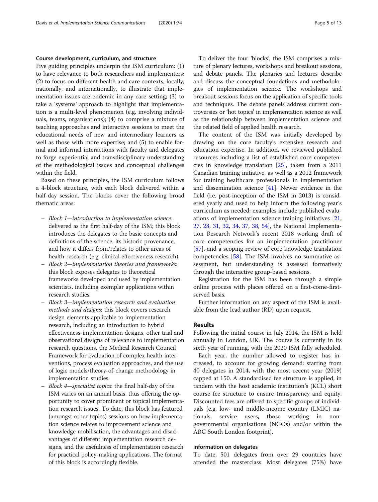#### Course development, curriculum, and structure

Five guiding principles underpin the ISM curriculum: (1) to have relevance to both researchers and implementers; (2) to focus on different health and care contexts, locally, nationally, and internationally, to illustrate that implementation issues are endemic in any care setting; (3) to take a 'systems' approach to highlight that implementation is a multi-level phenomenon (e.g. involving individuals, teams, organisations); (4) to comprise a mixture of teaching approaches and interactive sessions to meet the educational needs of new and intermediary learners as well as those with more expertise; and (5) to enable formal and informal interactions with faculty and delegates to forge experiential and transdisciplinary understanding of the methodological issues and conceptual challenges within the field.

Based on these principles, the ISM curriculum follows a 4-block structure, with each block delivered within a half-day session. The blocks cover the following broad thematic areas:

- Block 1—introduction to implementation science: delivered as the first half-day of the ISM; this block introduces the delegates to the basic concepts and definitions of the science, its historic provenance, and how it differs from/relates to other areas of health research (e.g. clinical effectiveness research).
- Block 2—implementation theories and frameworks: this block exposes delegates to theoretical frameworks developed and used by implementation scientists, including exemplar applications within research studies.
- Block 3—implementation research and evaluation methods and designs: this block covers research design elements applicable to implementation research, including an introduction to hybrid effectiveness-implementation designs, other trial and observational designs of relevance to implementation research questions, the Medical Research Council Framework for evaluation of complex health interventions, process evaluation approaches, and the use of logic models/theory-of-change methodology in implementation studies.
- Block 4—specialist topics: the final half-day of the ISM varies on an annual basis, thus offering the opportunity to cover prominent or topical implementation research issues. To date, this block has featured (amongst other topics) sessions on how implementation science relates to improvement science and knowledge mobilisation, the advantages and disadvantages of different implementation research designs, and the usefulness of implementation research for practical policy-making applications. The format of this block is accordingly flexible.

To deliver the four 'blocks', the ISM comprises a mixture of plenary lectures, workshops and breakout sessions, and debate panels. The plenaries and lectures describe and discuss the conceptual foundations and methodologies of implementation science. The workshops and breakout sessions focus on the application of specific tools and techniques. The debate panels address current controversies or 'hot topics' in implementation science as well as the relationship between implementation science and the related field of applied health research.

The content of the ISM was initially developed by drawing on the core faculty's extensive research and education expertise. In addition, we reviewed published resources including a list of established core competencies in knowledge translation [[25\]](#page-13-0), taken from a 2011 Canadian training initiative, as well as a 2012 framework for training healthcare professionals in implementation and dissemination science  $[41]$  $[41]$ . Newer evidence in the field (i.e. post-inception of the ISM in 2013) is considered yearly and used to help inform the following year's curriculum as needed: examples include published evaluations of implementation science training initiatives [[21](#page-12-0), [27,](#page-13-0) [28,](#page-13-0) [31](#page-13-0), [32,](#page-13-0) [34](#page-13-0), [37](#page-13-0), [38,](#page-13-0) [54](#page-13-0)], the National Implementation Research Network's recent 2018 working draft of core competencies for an implementation practitioner [[57\]](#page-13-0), and a scoping review of core knowledge translation competencies [\[58\]](#page-13-0). The ISM involves no summative assessment, but understanding is assessed formatively through the interactive group-based sessions.

Registration for the ISM has been through a simple online process with places offered on a first-come-firstserved basis.

Further information on any aspect of the ISM is available from the lead author (RD) upon request.

#### Results

Following the initial course in July 2014, the ISM is held annually in London, UK. The course is currently in its sixth year of running, with the 2020 ISM fully scheduled.

Each year, the number allowed to register has increased, to account for growing demand: starting from 40 delegates in 2014, with the most recent year (2019) capped at 150. A standardised fee structure is applied, in tandem with the host academic institution's (KCL) short course fee structure to ensure transparency and equity. Discounted fees are offered to specific groups of individuals (e.g. low- and middle-income country (LMIC) nationals, service users, those working in nongovernmental organisations (NGOs) and/or within the ARC South London footprint).

#### Information on delegates

To date, 501 delegates from over 29 countries have attended the masterclass. Most delegates (75%) have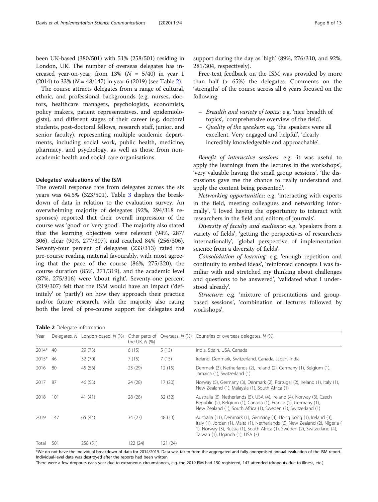been UK-based (380/501) with 51% (258/501) residing in London, UK. The number of overseas delegates has increased year-on-year, from 13% ( $N = 5/40$ ) in year 1 (2014) to 33% ( $N = 48/147$ ) in year 6 (2019) (see Table 2).

The course attracts delegates from a range of cultural, ethnic, and professional backgrounds (e.g. nurses, doctors, healthcare managers, psychologists, economists, policy makers, patient representatives, and epidemiologists), and different stages of their career (e.g. doctoral students, post-doctoral fellows, research staff, junior, and senior faculty), representing multiple academic departments, including social work, public health, medicine, pharmacy, and psychology, as well as those from nonacademic health and social care organisations.

#### Delegates' evaluations of the ISM

The overall response rate from delegates across the six years was 64.5% (323/501). Table [3](#page-8-0) displays the breakdown of data in relation to the evaluation survey. An overwhelming majority of delegates (92%, 294/318 responses) reported that their overall impression of the course was 'good' or 'very good'. The majority also stated that the learning objectives were relevant (94%, 287/ 306), clear (90%, 277/307), and reached 84% (256/306). Seventy-four percent of delegates (233/313) rated the pre-course reading material favourably, with most agreeing that the pace of the course (86%, 275/320), the course duration (85%, 271/319), and the academic level (87%, 275/316) were 'about right'. Seventy-one percent (219/307) felt that the ISM would have an impact ('definitely' or 'partly') on how they approach their practice and/or future research, with the majority also rating both the level of pre-course support for delegates and support during the day as 'high' (89%, 276/310, and 92%, 281/304, respectively).

Free-text feedback on the ISM was provided by more than half (> 65%) the delegates. Comments on the 'strengths' of the course across all 6 years focused on the following:

- Breadth and variety of topics: e.g. 'nice breadth of topics', 'comprehensive overview of the field'.
- Quality of the speakers: e.g. 'the speakers were all excellent. Very engaged and helpful', 'clearly incredibly knowledgeable and approachable'.

Benefit of interactive sessions: e.g. 'it was useful to apply the learnings from the lectures in the workshops', 'very valuable having the small group sessions', 'the discussions gave me the chance to really understand and apply the content being presented'.

Networking opportunities: e.g. 'interacting with experts in the field, meeting colleagues and networking informally', 'I loved having the opportunity to interact with researchers in the field and editors of journals'.

Diversity of faculty and audience: e.g. 'speakers from a variety of fields', 'getting the perspectives of researchers internationally', 'global perspective of implementation science from a diversity of fields'.

Consolidation of learning: e.g. 'enough repetition and continuity to embed ideas', 'reinforced concepts I was familiar with and stretched my thinking about challenges and questions to be answered', 'validated what I understood already'.

Structure: e.g. 'mixture of presentations and groupbased sessions', 'combination of lectures followed by workshops'.

**Table 2** Delegate information

| Year     |     | Delegates, N London-based, N (%) | the UK, $N$ $(\%)$ |          | Other parts of Overseas, N (%) Countries of overseas delegates, N (%)                                                                                                                                                                                                   |
|----------|-----|----------------------------------|--------------------|----------|-------------------------------------------------------------------------------------------------------------------------------------------------------------------------------------------------------------------------------------------------------------------------|
| 2014* 40 |     | 29(73)                           | 6(15)              | 5(13)    | India, Spain, USA, Canada                                                                                                                                                                                                                                               |
| 2015* 46 |     | 32 (70)                          | 7(15)              | 7(15)    | Ireland, Denmark, Switzerland, Canada, Japan, India                                                                                                                                                                                                                     |
| 2016     | -80 | 45 (56)                          | 23 (29)            | 12(15)   | Denmark (3), Netherlands (2), Ireland (2), Germany (1), Belgium (1),<br>Jamaica (1), Switzerland (1)                                                                                                                                                                    |
| 2017     | -87 | 46 (53)                          | 24 (28)            | 17(20)   | Norway (5), Germany (3), Denmark (2), Portugal (2), Ireland (1), Italy (1),<br>New Zealand (1), Malaysia (1), South Africa (1)                                                                                                                                          |
| 2018     | 101 | 41(41)                           | 28 (28)            | 32(32)   | Australia (6), Netherlands (5), USA (4), Ireland (4), Norway (3), Czech<br>Republic (2), Belgium (1), Canada (1), France (1), Germany (1),<br>New Zealand (1), South Africa (1), Sweden (1), Switzerland (1)                                                            |
| 2019     | 147 | 65 (44)                          | 34(23)             | 48 (33)  | Australia (11), Denmark (1), Germany (4), Hong Kong (1), Ireland (3),<br>Italy (1), Jordan (1), Malta (1), Netherlands (6), New Zealand (2), Nigeria (<br>1), Norway (3), Russia (1), South Africa (1), Sweden (2), Switzerland (4),<br>Taiwan (1), Uganda (1), USA (3) |
| Total    | 501 | 258 (51)                         | 122 (24)           | 121 (24) |                                                                                                                                                                                                                                                                         |

\*We do not have the individual breakdown of data for 2014/2015. Data was taken from the aggregated and fully anonymised annual evaluation of the ISM report. Individual-level data was destroyed after the reports had been written

There were a few dropouts each year due to extraneous circumstances, e.g. the 2019 ISM had 150 registered, 147 attended (dropouts due to illness, etc.)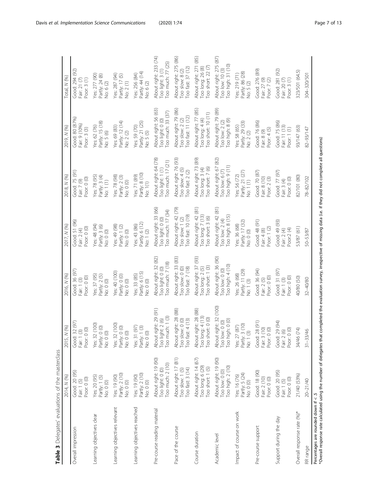<span id="page-8-0"></span>

| Table 3 Delegates' evaluations of the masterclass                                                                                                                                                                        | 2014, N (%)                                                  | 2015, N (%)                                                  | 2016, N (%)                                                                             | 2017, N (%)                                                  | 2018, N (%)                                                  | 2019, N (%)                                                  | Total, N (%)                                                                              |
|--------------------------------------------------------------------------------------------------------------------------------------------------------------------------------------------------------------------------|--------------------------------------------------------------|--------------------------------------------------------------|-----------------------------------------------------------------------------------------|--------------------------------------------------------------|--------------------------------------------------------------|--------------------------------------------------------------|-------------------------------------------------------------------------------------------|
| Overall impression                                                                                                                                                                                                       | Good: 20 (95)<br>Poor: 0 (0)<br>Fair: 1 (5)                  | Good: 32 (97)<br>Fair: 1 (3)<br>Poor: 0 (0)                  | Good: 36 (97)<br>Poor: 0 (0)<br>Fair: 1 (3)                                             | Good: 51 (96)<br>Poor: $0(0)$<br>Fair: 2 (4)                 | Good: 75 (91)<br>Fair: 7 (9)<br>200r: 0(0)                   | Good: 80 (87%)<br>Fair: 9 (10%)<br>Poor: $3(3)$              | Good: 294 (92)<br>Poor: $3(1)$<br>Fair: 21 $(7)$                                          |
| Learning objectives clear                                                                                                                                                                                                | Yes: 20 (95)<br>Partly: 1(5)<br>No: 0 (0)                    | Yes: 32 (100)<br>Partly: 0 (0)<br>No: 0 (0)                  | Yes: 37 (95)<br>$P$ artly: $2(5)$<br>No: 0 (0)                                          | Yes: 48 (94)<br>Partly: 3 (6)<br>No: 0 (0)                   | Yes: 78 (95)<br>Partly: 3(4)<br>$\sqrt{a}$ : 1(1)            | Partly: 15 (18)<br>Yes: 62 (76)<br>No: 5 (6)                 | Yes: 277 (90)<br>Partly: 24 (8)<br>No: 6 (2)                                              |
| Learning objectives relevant                                                                                                                                                                                             | Partly: 2 (10)<br>Yes: 19 (90)<br>No: 0 (0)                  | Yes: 32 (100)<br>Partly: 0 (0)<br>No: 0 (0)                  | Yes: 40 (100)<br>Partly: 0 (0)<br>No: 0 (0)                                             | Yes: 49 (98)<br>Partly: 1 (2)<br>No: 0 (0)                   | Yes: 78 (98)<br>Partly: 2 (3)<br>No: 0 (0)                   | Partly: 12 (14)<br>No: 2 (2)<br>Yes: 69 (83)                 | Yes: 287 (94)<br>Partly: 17 (5)<br>No: 2 (1)                                              |
| Learning objectives reached                                                                                                                                                                                              | Partly: 2 (10)<br>Yes: 19 (90)<br>No: 0 (0)                  | 31 (97)<br>Partly: 1 (3)<br>No: 0 (0)<br>Yes:                | Partly: 6 (15)<br>No: 0 (0)<br>Yes: 33 (85)                                             | Yes: 43 (86)<br>Partly: 6 (12)<br>No: 1 (2)                  | Partly: 8 (10)<br>No: 1(1)<br>Yes: 71 (89)                   | Yes: 59 (70)<br>Partly: 21 (25)<br>No: 5(5)                  | Yes: 256 (84)<br>Partly: 44 (14)<br>No: 6 (2)                                             |
| Pre-course reading material                                                                                                                                                                                              | About right: 19 (90)<br>Too much: 2 (10)<br>Too light: 0 (0) | About right: 29 (91)<br>Too light: 2 (6)<br>Too much: 1 (3)  | About right: 32 (82)<br>Too much: 7 (18)<br>Too light: 0 (0)                            | About right: 33 (66)<br>Too light: 0 (0)<br>oo much: 17 (34) | About right: 64 (78)<br>Too light: 1 (1)<br>oo much: 17 (21) | About right: 56 (63)<br>Too light: 0 (0)<br>oo much: 33 (37) | About right: 233 (74)<br>oo much: 77 (25)<br>Too light: 3 (1)                             |
| Pace of the course                                                                                                                                                                                                       | About right: 17 (81)<br>Too fast: 3 (14)<br>Too slow: 1 (5)  | About right: 28 (88)<br>Too slow: 0 (0)<br>Too fast: 4 (13)  | About right: 33 (83)<br>Too slow: 0 (0)<br>Too fast: 7 (18)                             | About right: 42 (79)<br>Too slow: 1 (2)<br>Too fast: 10 (19) | About right: 76 (93)<br>Too slow: 4 (5)<br>oo fast: $2(2)$   | About right: 79 (86)<br>Too slow: 2 (2)<br>Too fast: 11 (12) | About right: 275 (86)<br>Too slow: 8 (2)<br>Too fast: 37 (12)                             |
| Course duration                                                                                                                                                                                                          | About right: 14 (67)<br>Too long: 6 (29)<br>Too short: 1 (5) | About right: 28 (88)<br>Too long: 4 (13)<br>Too short: 0 (0) | About right: 37 (93)<br>Too long: 2 (5)<br>Too short: 1 (3)                             | About right: 42 (81)<br>Too long: 7 (13)<br>Too short: 3 (6) | About right: 73 (89)<br>Too long: 3 (4)<br>Too short: 7 (6)  | About right: 77 (85)<br>Too long: 4 (4)<br>oo short: 10 (11) | About right: 271 (85)<br>Too long: 26 (8)<br>$\overline{1}$ oo short: 22 $\overline{(7)}$ |
| Academic level                                                                                                                                                                                                           | About right: 19 (90)<br>Too high: 2 (10)<br>Too low: 0 (0)   | About right: 32 (100)<br>Too low: 0 (0)<br>Too high: 0 (0)   | About right: 36 (90)<br>oo high: 4 (10)<br>$\sqrt{\frac{1}{2}}$ oo $\sqrt{\frac{1}{2}}$ | About right: 42 (81)<br>oo high: 8 (15)<br>Too low: 2 (4)    | About right: 67 (82)<br>Too low: 6 (7)<br>Too high: 9 (11)   | About right: 79 (89)<br>oo high: 8 (9)<br>Too low: $2(2)$    | About right: 275 (87)<br>oo high: 31 (10)<br>Too low: 10 (3)                              |
| Impact of course on work                                                                                                                                                                                                 | Partly: 5 (24)<br>No: 0 (0)<br>Yes: 16 (76)                  | $1y: 3(10)$<br>1(3)<br>27(87)<br>Part<br>Yes:<br>$\dot{\Xi}$ | Yes: 26 (68)<br>Partly: 11 (29)<br>No: 1 (3)                                            | Yes: 36 (68)<br>Partly: 17 (32)<br>No: 0 (0)                 | Partly: 21 (27)<br>No: 1 (1)<br>Yes: 56 (72)                 | Partly: 29 (33)<br>No: 2 (2)<br>Yes: 58 (65)                 | Yes: 219 (71)<br>Partly: 86 (28)<br>No: 5 (2)                                             |
| Pre-course support                                                                                                                                                                                                       | Good: 18 (90)<br>Fair: 2 (10)<br>Poor: 0 (0)                 | Good: 28 (91)<br>Fair: 3 (10)<br>Poor: 0 (0)                 | Good: 36 (94)<br>Fair: 2 (5)<br>Poor: 0 (0)                                             | Good: 48 (91)<br>Fair: 4 (8)<br>Poor: 1 (2)                  | Good: 70 (87)<br>Fair: 8 (10)<br>Poor: 2 (3)                 | Good: 76 (86)<br>Fair: 8 (9)<br>Poor: $4(5)$                 | Good: 276 (89)<br>Fair: 27 (9)<br>Poor: 7 (2)                                             |
| Support during the day                                                                                                                                                                                                   | Good: 20 (95)<br>Poor: 0 (0)<br>Fair: 1 (5)                  | Good: 29 (94)<br>Fair: 2 (6)<br>Poor: 0 (0)                  | Good: 31 (97)<br>Poor: $0(0)$<br>Fair: 1 (3)                                            | Good: 49 (93)<br>Poor:2 $(4)$<br>Fair: 2 (4)                 | Good: 77 (97)<br>900r: 0(0)<br>Fair: 3 (4)                   | Good: 75 (86)<br>Fair: 11 (13)<br>Poor: $1(1)$               | Good: 281 (92)<br>Poor: $3(1)$<br>Fair: 20 (7)                                            |
| Overall response rate (%)*                                                                                                                                                                                               | 21/40 (53%)                                                  | 34/46 (74)                                                   | 40/80 (50)                                                                              | 53/87 (61)                                                   | 82/101 (80)                                                  | 93/147 (63)                                                  | 323/501 (64.5)                                                                            |
| RR range                                                                                                                                                                                                                 | 20-21/40                                                     | $31 - 33/46$                                                 | $32 - 40/80$                                                                            | 50-53/87                                                     | 78-82/102                                                    | 82-93/147                                                    | 304-320/501                                                                               |
| "Overall response rate calculated using the number of delegates that completed the evaluation survey, irrespective of missing data (i.e. if they did not complete all questions)<br>Percentages are rounded down if < .5 |                                                              |                                                              |                                                                                         |                                                              |                                                              |                                                              |                                                                                           |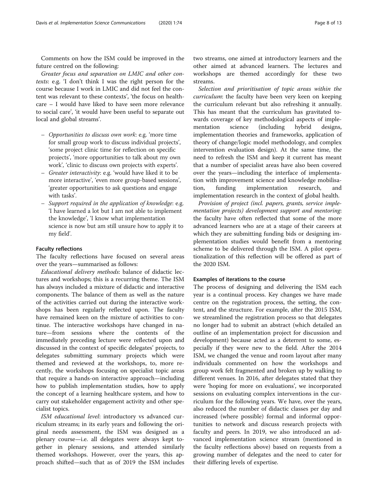Comments on how the ISM could be improved in the future centred on the following:

Greater focus and separation on LMIC and other contexts: e.g. 'I don't think I was the right person for the course because I work in LMIC and did not feel the content was relevant to these contexts', 'the focus on healthcare – I would have liked to have seen more relevance to social care', 'it would have been useful to separate out local and global streams'.

- Opportunities to discuss own work: e.g. 'more time for small group work to discuss individual projects', 'some project clinic time for reflection on specific projects', 'more opportunities to talk about my own work', 'clinic to discuss own projects with experts'.
- Greater interactivity: e.g. 'would have liked it to be more interactive', 'even more group-based sessions', 'greater opportunities to ask questions and engage with tasks'.
- Support required in the application of knowledge: e.g. 'I have learned a lot but I am not able to implement the knowledge', 'I know what implementation science is now but am still unsure how to apply it to my field'.

#### Faculty reflections

The faculty reflections have focused on several areas over the years—summarised as follows:

Educational delivery methods: balance of didactic lectures and workshops; this is a recurring theme. The ISM has always included a mixture of didactic and interactive components. The balance of them as well as the nature of the activities carried out during the interactive workshops has been regularly reflected upon. The faculty have remained keen on the mixture of activities to continue. The interactive workshops have changed in nature—from sessions where the contents of the immediately preceding lecture were reflected upon and discussed in the context of specific delegates' projects, to delegates submitting summary projects which were themed and reviewed at the workshops, to, more recently, the workshops focusing on specialist topic areas that require a hands-on interactive approach—including how to publish implementation studies, how to apply the concept of a learning healthcare system, and how to carry out stakeholder engagement activity and other specialist topics.

ISM educational level: introductory vs advanced curriculum streams; in its early years and following the original needs assessment, the ISM was designed as a plenary course—i.e. all delegates were always kept together in plenary sessions, and attended similarly themed workshops. However, over the years, this approach shifted—such that as of 2019 the ISM includes

two streams, one aimed at introductory learners and the other aimed at advanced learners. The lectures and workshops are themed accordingly for these two streams.

Selection and prioritisation of topic areas within the curriculum: the faculty have been very keen on keeping the curriculum relevant but also refreshing it annually. This has meant that the curriculum has gravitated towards coverage of key methodological aspects of implementation science (including hybrid designs, implementation theories and frameworks, application of theory of change/logic model methodology, and complex intervention evaluation design). At the same time, the need to refresh the ISM and keep it current has meant that a number of specialist areas have also been covered over the years—including the interface of implementation with improvement science and knowledge mobilisation, funding implementation research, and implementation research in the context of global health.

Provision of project (incl. papers, grants, service implementation projects) development support and mentoring: the faculty have often reflected that some of the more advanced learners who are at a stage of their careers at which they are submitting funding bids or designing implementation studies would benefit from a mentoring scheme to be delivered through the ISM. A pilot operationalization of this reflection will be offered as part of the 2020 ISM.

#### Examples of iterations to the course

The process of designing and delivering the ISM each year is a continual process. Key changes we have made centre on the registration process, the setting, the content, and the structure. For example, after the 2015 ISM, we streamlined the registration process so that delegates no longer had to submit an abstract (which detailed an outline of an implementation project for discussion and development) because acted as a deterrent to some, especially if they were new to the field. After the 2014 ISM, we changed the venue and room layout after many individuals commented on how the workshops and group work felt fragmented and broken up by walking to different venues. In 2016, after delegates stated that they were 'hoping for more on evaluations', we incorporated sessions on evaluating complex interventions in the curriculum for the following years. We have, over the years, also reduced the number of didactic classes per day and increased (where possible) formal and informal opportunities to network and discuss research projects with faculty and peers. In 2019, we also introduced an advanced implementation science stream (mentioned in the faculty reflections above) based on requests from a growing number of delegates and the need to cater for their differing levels of expertise.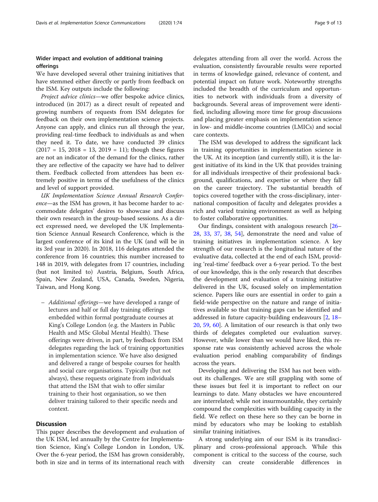### Wider impact and evolution of additional training offerings

We have developed several other training initiatives that have stemmed either directly or partly from feedback on the ISM. Key outputs include the following:

Project advice clinics—we offer bespoke advice clinics, introduced (in 2017) as a direct result of repeated and growing numbers of requests from ISM delegates for feedback on their own implementation science projects. Anyone can apply, and clinics run all through the year, providing real-time feedback to individuals as and when they need it. To date, we have conducted 39 clinics  $(2017 = 15, 2018 = 13, 2019 = 11)$ ; though these figures are not an indicator of the demand for the clinics, rather they are reflective of the capacity we have had to deliver them. Feedback collected from attendees has been extremely positive in terms of the usefulness of the clinics and level of support provided.

UK Implementation Science Annual Research Conference—as the ISM has grown, it has become harder to accommodate delegates' desires to showcase and discuss their own research in the group-based sessions. As a direct expressed need, we developed the UK Implementation Science Annual Research Conference, which is the largest conference of its kind in the UK (and will be in its 3rd year in 2020). In 2018, 116 delegates attended the conference from 16 countries; this number increased to 148 in 2019, with delegates from 17 countries, including (but not limited to) Austria, Belgium, South Africa, Spain, New Zealand, USA, Canada, Sweden, Nigeria, Taiwan, and Hong Kong.

– Additional offerings—we have developed a range of lectures and half or full day training offerings embedded within formal postgraduate courses at King's College London (e.g. the Masters in Public Health and MSc Global Mental Health). These offerings were driven, in part, by feedback from ISM delegates regarding the lack of training opportunities in implementation science. We have also designed and delivered a range of bespoke courses for health and social care organisations. Typically (but not always), these requests originate from individuals that attend the ISM that wish to offer similar training to their host organisation, so we then deliver training tailored to their specific needs and context.

#### **Discussion**

This paper describes the development and evaluation of the UK ISM, led annually by the Centre for Implementation Science, King's College London in London, UK. Over the 6-year period, the ISM has grown considerably, both in size and in terms of its international reach with

delegates attending from all over the world. Across the evaluation, consistently favourable results were reported in terms of knowledge gained, relevance of content, and potential impact on future work. Noteworthy strengths included the breadth of the curriculum and opportunities to network with individuals from a diversity of backgrounds. Several areas of improvement were identified, including allowing more time for group discussions and placing greater emphasis on implementation science in low- and middle-income countries (LMICs) and social care contexts.

The ISM was developed to address the significant lack in training opportunities in implementation science in the UK. At its inception (and currently still), it is the largest initiative of its kind in the UK that provides training for all individuals irrespective of their professional background, qualifications, and expertise or where they fall on the career trajectory. The substantial breadth of topics covered together with the cross-disciplinary, international composition of faculty and delegates provides a rich and varied training environment as well as helping to foster collaborative opportunities.

Our findings, consistent with analogous research [[26](#page-13-0)– [28,](#page-13-0) [33,](#page-13-0) [37](#page-13-0), [38](#page-13-0), [54\]](#page-13-0), demonstrate the need and value of training initiatives in implementation science. A key strength of our research is the longitudinal nature of the evaluative data, collected at the end of each ISM, providing 'real-time' feedback over a 6-year period. To the best of our knowledge, this is the only research that describes the development and evaluation of a training initiative delivered in the UK, focused solely on implementation science. Papers like ours are essential in order to gain a field-wide perspective on the nature and range of initiatives available so that training gaps can be identified and addressed in future capacity-building endeavours [[2,](#page-12-0) [18](#page-12-0)– [20,](#page-12-0) [59,](#page-13-0) [60](#page-13-0)]. A limitation of our research is that only two thirds of delegates completed our evaluation survey. However, while lower than we would have liked, this response rate was consistently achieved across the whole evaluation period enabling comparability of findings across the years.

Developing and delivering the ISM has not been without its challenges. We are still grappling with some of these issues but feel it is important to reflect on our learnings to date. Many obstacles we have encountered are interrelated; while not insurmountable, they certainly compound the complexities with building capacity in the field. We reflect on these here so they can be borne in mind by educators who may be looking to establish similar training initiatives.

A strong underlying aim of our ISM is its transdisciplinary and cross-professional approach. While this component is critical to the success of the course, such diversity can create considerable differences in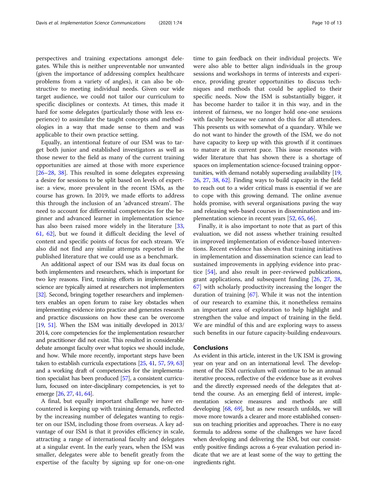perspectives and training expectations amongst delegates. While this is neither unpreventable nor unwanted (given the importance of addressing complex healthcare problems from a variety of angles), it can also be obstructive to meeting individual needs. Given our wide target audience, we could not tailor our curriculum to specific disciplines or contexts. At times, this made it hard for some delegates (particularly those with less experience) to assimilate the taught concepts and methodologies in a way that made sense to them and was applicable to their own practice setting.

Equally, an intentional feature of our ISM was to target both junior and established investigators as well as those newer to the field as many of the current training opportunities are aimed at those with more experience [[26](#page-13-0)–[28](#page-13-0), [38](#page-13-0)]. This resulted in some delegates expressing a desire for sessions to be split based on levels of expertise: a view, more prevalent in the recent ISMs, as the course has grown. In 2019, we made efforts to address this through the inclusion of an 'advanced stream'. The need to account for differential competencies for the beginner and advanced learner in implementation science has also been raised more widely in the literature [[33](#page-13-0), [61,](#page-13-0) [62](#page-13-0)], but we found it difficult deciding the level of content and specific points of focus for each stream. We also did not find any similar attempts reported in the published literature that we could use as a benchmark.

An additional aspect of our ISM was its dual focus on both implementers and researchers, which is important for two key reasons. First, training efforts in implementation science are typically aimed at researchers not implementers [[32](#page-13-0)]. Second, bringing together researchers and implementers enables an open forum to raise key obstacles when implementing evidence into practice and generates research and practice discussions on how these can be overcome [[19](#page-12-0), [51\]](#page-13-0). When the ISM was initially developed in 2013/ 2014, core competencies for the implementation researcher and practitioner did not exist. This resulted in considerable debate amongst faculty over what topics we should include, and how. While more recently, important steps have been taken to establish curricula expectations [\[25,](#page-13-0) [41](#page-13-0), [57,](#page-13-0) [59,](#page-13-0) [63](#page-13-0)] and a working draft of competencies for the implementation specialist has been produced [[57](#page-13-0)], a consistent curriculum, focused on inter-disciplinary competencies, is yet to emerge [\[26](#page-13-0), [27](#page-13-0), [41](#page-13-0), [64](#page-13-0)].

A final, but equally important challenge we have encountered is keeping up with training demands, reflected by the increasing number of delegates wanting to register on our ISM, including those from overseas. A key advantage of our ISM is that it provides efficiency in scale, attracting a range of international faculty and delegates at a singular event. In the early years, when the ISM was smaller, delegates were able to benefit greatly from the expertise of the faculty by signing up for one-on-one

time to gain feedback on their individual projects. We were also able to better align individuals in the group sessions and workshops in terms of interests and experience, providing greater opportunities to discuss techniques and methods that could be applied to their specific needs. Now the ISM is substantially bigger, it has become harder to tailor it in this way, and in the interest of fairness, we no longer hold one-one sessions with faculty because we cannot do this for all attendees. This presents us with somewhat of a quandary. While we do not want to hinder the growth of the ISM, we do not have capacity to keep up with this growth if it continues to mature at its current pace. This issue resonates with wider literature that has shown there is a shortage of spaces on implementation science-focused training opportunities, with demand notably superseding availability [[19](#page-12-0), [26](#page-13-0), [27](#page-13-0), [38](#page-13-0), [62](#page-13-0)]. Finding ways to build capacity in the field to reach out to a wider critical mass is essential if we are to cope with this growing demand. The online avenue holds promise, with several organisations paving the way and releasing web-based courses in dissemination and implementation science in recent years [[52](#page-13-0), [65,](#page-13-0) [66\]](#page-13-0).

Finally, it is also important to note that as part of this evaluation, we did not assess whether training resulted in improved implementation of evidence-based interventions. Recent evidence has shown that training initiatives in implementation and dissemination science can lead to sustained improvements in applying evidence into practice [[54\]](#page-13-0), and also result in peer-reviewed publications, grant applications, and subsequent funding [\[26,](#page-13-0) [27](#page-13-0), [38](#page-13-0), [67\]](#page-13-0) with scholarly productivity increasing the longer the duration of training [\[67\]](#page-13-0). While it was not the intention of our research to examine this, it nonetheless remains an important area of exploration to help highlight and strengthen the value and impact of training in the field. We are mindful of this and are exploring ways to assess such benefits in our future capacity-building endeavours.

#### Conclusions

As evident in this article, interest in the UK ISM is growing year on year and on an international level. The development of the ISM curriculum will continue to be an annual iterative process, reflective of the evidence base as it evolves and the directly expressed needs of the delegates that attend the course. As an emerging field of interest, implementation science measures and methods are still developing [\[68,](#page-14-0) [69](#page-14-0)], but as new research unfolds, we will move more towards a clearer and more established consensus on teaching priorities and approaches. There is no easy formula to address some of the challenges we have faced when developing and delivering the ISM, but our consistently positive findings across a 6-year evaluation period indicate that we are at least some of the way to getting the ingredients right.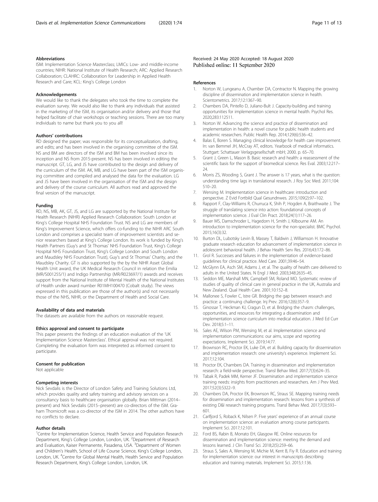#### <span id="page-12-0"></span>Abbreviations

ISM: Implementation Science Masterclass; LMICs: Low- and middle-income countries; NIHR: National Institute of Health Research; ARC: Applied Research Collaboration; CLAHRC: Collaboration for Leadership in Applied Health Research and Care; KCL: King's College London

#### Acknowledgements

We would like to thank the delegates who took the time to complete the evaluation survey. We would also like to thank any individuals that assisted in the marketing of the ISM, its organisation and/or delivery and those that helped facilitate of chair workshops or teaching sessions. There are too many individuals to name but thank you to you all!

#### Authors' contributions

RD designed the paper; was responsible for its conceptualization, drafting, and edits; and has been involved in the organising committee of the ISM. NS and BM are directors of the ISM and BM has been involved since its inception and NS from 2015-present. NS has been involved in editing the manuscript. GT, LG, and JS have contributed to the design and delivery of the curriculum of the ISM. AK, MB, and LG have been part of the ISM organising committee and compiled and analysed the data for the evaluation. LG and JS have been involved in the organisation of the ISM and the design and delivery of the course curriculum. All authors read and approved the final version of the manuscript.

#### Funding

RD, NS, MB, AK, GT, JS, and LG are supported by the National Institute for Health Research (NIHR) Applied Research Collaboration: South London at King's College Hospital NHS Foundation Trust. NS and LG are members of King's Improvement Science, which offers co-funding to the NIHR ARC South London and comprises a specialist team of improvement scientists and senior researchers based at King's College London. Its work is funded by King's Health Partners (Guy's and St Thomas' NHS Foundation Trust, King's College Hospital NHS Foundation Trust, King's College London and South London and Maudsley NHS Foundation Trust), Guy's and St Thomas' Charity, and the Maudsley Charity. GT is also supported by the by the NIHR Asset Global Health Unit award, the UK Medical Research Council in relation the Emilia (MR/S001255/1) and Indigo Partnership (MR/R023697/1) awards and receives support from the National Institute of Mental Health of the National Institutes of Health under award number R01MH100470 (Cobalt study). The views expressed in this publication are those of the author(s) and not necessarily those of the NHS, NIHR, or the Department of Health and Social Care.

#### Availability of data and materials

The datasets are available from the authors on reasonable request.

#### Ethics approval and consent to participate

This paper presents the findings of an education evaluation of the 'UK Implementation Science Masterclass'. Ethical approval was not required. Completing the evaluation form was interpreted as informed consent to participate.

#### Consent for publication

Not applicable

#### Competing interests

Nick Sevdalis is the Director of London Safety and Training Solutions Ltd, which provides quality and safety training and advisory services on a consultancy basis to healthcare organisation globally. Brian Mittman (2014– present) and Nick Sevdalis (2015–present) are co-directors of the ISM. Graham Thornicroft was a co-director of the ISM in 2014. The other authors have no conflicts to declare.

#### Author details

<sup>1</sup> Centre for Implementation Science, Health Service and Population Research Department, King's College London, London, UK. <sup>2</sup>Department of Research and Evaluation, Kaiser Permanente, Pasadena, USA. <sup>3</sup>Department of Women and Children's Health, School of Life Course Science, King's College London, London, UK.<sup>4</sup> Centre for Global Mental Health, Health Service and Population Research Department, King's College London, London, UK.

#### Received: 24 May 2020 Accepted: 18 August 2020 Published online: 11 September 2020

#### References

- 1. Norton W, Lungeanu A, Chamber DA, Contractor N. Mapping the growing discipline of dissemination and implementation science in health. Scientometrics. 2017;12:1367–90.
- 2. Chambers DA, Pintello D, Juliano-Bult J. Capacity-building and training opportunities for implementation science in mental health. Psychol Res. 2020;283:112511.
- Norton W. Advancing the science and practice of dissemination and implementation in health: a novel course for public health students and academic researchers. Public Health Rep. 2014;129(6):536–42.
- 4. Balas E, Boren S. Managing clinical knowledge for health care improvement. In: van Bemmel JH, McCray AT, editors. Yearbook of medical informatics. Stuttgart: Schattauer Verlagsgesellschaft mbH; 2000. p. 65–70.
- 5. Grant J, Green L, Mason B. Basic research and health: a reassessment of the scientific basis for the support of biomedical science. Res Eval. 2003;12:217– 24.
- 6. Morris ZS, Wooding S, Grant J. The answer is 17 years, what is the question: understanding time lags in translational research. J Roy Soc Med. 2011;104: 510–20.
- 7. Wensing M. Implementation science in healthcare: introduction and perspective. Z Evid Fortbild Qual Gesundnwes. 2015;109(2):97–102.
- Rapport F, Clay-Williams R, Churruca K, Shih P, Hogden A, Braithwaite J. The struggle of translating science into action: foundational concepts of implementation science. J Eval Clin Pract. 2018;24(1):117–26.
- 9. Bauer MS, Damschroder L, Hagedorn H, Smith J, Kilbourne AM. An introduction to implementation science for the non-specialist. BMC Psychol. 2015;16(3):32.
- 10. Burton DL, Lubotsky Levin B, Massey T, Baldwin J, Williamson H. Innovative graduate research education for advancement of implementation science in adolescent behavioral health. J Behav Health Serv Res. 2016;43:172–86.
- 11. Grol R. Successes and failures in the implementation of evidence-based guidelines for clinical practice. Med Care. 2001;39:46–54.
- 12. McGlynn EA, Asch SM, Adams J, et al. The quality of health care delivered to adults in the United States. N Engl J Med. 2003;348:2635–45.
- 13. Seddon ME, Marshall MN, Campbell SM, Roland MO. Systematic review of studies of quality of clinical care in general practice in the UK, Australia and New Zealand. Qual Health Care. 2001;10:152–8.
- 14. Mallonee S, Fowler C, Istre GR. Bridging the gap between research and practice: a continuing challenge. Inj Prev. 2016;12(6):357–9.
- 15. Ginossar T, Heckman KJ, Cragun D, et al. Bridging the chasm: challenges, opportunities, and resources for integrating a dissemination and implementation science curriculum into medical education. J Med Ed Curr Dev. 2018;5:1–11.
- 16. Sales AE, Wilson PM, Wensing M, et al. Implementation science and implementation communications: our aims, scope and reporting expectations. Implement Sci. 2019;14:77.
- 17. Brownson RC, Proctor EK, Luke DA, et al. Building capacity for dissemination and implementation research: one university's experience. Implement Sci. 2017;12:104.
- 18. Proctor EK, Chambers DA. Training in dissemination and implementation research: a field-wide perspective. Transl Behav Med. 2017;7(3):624–35.
- 19. Tabak R, Padek MM, Kerner JF. Dissemination and implementation science training needs: insights from practitioners and researchers. Am J Prev Med. 2017;52(3):S322–9.
- 20. Chambers DA, Proctor EK, Brownson RC, Straus SE. Mapping training needs for dissemination and implementation research: lessons from a synthesis of existing D&I research training programs. Transl Behav Med. 2017;7(3):593– 601.
- 21. Carlfjord S, Roback K, Nilsen P. Five years' experience of an annual course on implementation science: an evaluation among course participants. Implement Sci. 2017;12:101.
- 22. Ford BS, Rabin B, Morrato EH, Glasgow RE. Online resources for dissemination and implementation science: meeting the demand and lessons learned. J Clin Transl Sci. 2018;2(5):259–66.
- 23. Straus S, Sales A, Wensing M, Michie M, Kent B, Fiy R. Education and training for implementation science: our interest in manuscripts describing education and training materials. Implement Sci. 2015;1:136.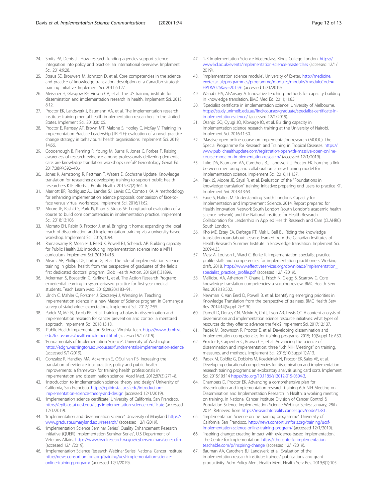- <span id="page-13-0"></span>24. Smits PA, Denis JL. How research funding agencies support science integration into policy and practice: an international overview. Implement Sci. 2014;9:28.
- 25. Straus SE, Brouwers M, Johnson D, et al. Core competencies in the science and practice of knowledge translation: description of a Canadian strategic training initiative. Implement Sci. 2011;6:127.
- 26. Meissner H, Glasgow RE, Vinson CA, et al. The US training institute for dissemination and implementation research in health. Implement Sci. 2013; 8:12.
- 27. Proctor EK, Landsverk J, Baumann AA, et al. The implementation research institute: training mental health implementation researchers in the United States. Implement Sci. 2013;8:105.
- 28. Proctor E, Ramsey AT, Brown MT, Malone S, Hooley C, McKay V. Training in Implementation Practice Leadership (TRIPLE): evaluation of a novel practice change strategy in behavioural health organisations. Implement Sci. 2019; 14:66.
- 29. Goodenough B, Fleming R, Young M, Burns K, Jones C, Forbes F. Raising awareness of research evidence among professionals delivering dementia care: are knowledge translation workshops useful? Gerontology Geriat Ed. 2017;38(4):392–406.
- 30. Jones K, Armstrong R, Pettman T, Waters E. Cochrane Update. Knowledge translation for researchers: developing training to support public health researchers KTE efforts. J Public Health. 2015;37(2):364–6.
- 31. Marriott BR, Rodriguez AL, Landes SJ, Lewis CC, Comtois KA. A methodology for enhancing implementation science proposals: comparison of face-toface versus virtual workshops. Implement Sci. 2016;11:62.
- 32. Moore JE, Rashid S, Park JS, Khan S, Straus SE. Longitudinal evaluation of a course to build core competencies in implementation practice. Implement Sci. 2018;13:106.
- 33. Morrato EH, Rabin B, Proctor J, et al. Bringing it home: expanding the local reach of dissemination and implementation training via a university-based workshop. Implement Sci. 2015;10:94.
- 34. Ramaswamy R, Mosnier J, Reed K, Powell BJ, Schenck AP. Building capacity for Public Health 3.0: introducing implementation science into a MPH curriculum. Implement Sci. 2019;14:18.
- 35. Means AR, Phillips DE, Lurton G, et al. The role of implementation science training in global health: from the perspective of graduates of the field's first dedicated doctoral program. Glob Health Action. 2016;9(1):31899.
- 36. Ackerman S, Boscardin C, Karliner L, et al. The Action Research Program: experiential learning in systems-based practice for first year medical students. Teach Learn Med. 2016;28(20):183–91.
- 37. Ulrich C, Mahler C, Forstner J, Szecsenyi J, Wensing M. Teaching implementation science in a new Master of Science program in Germany: a survey of stakeholder expectations. Implement Sci. 2017;12:55.
- 38. Padek M, Mir N, Jacob RR, et al. Training scholars in dissemination and implementation research for cancer prevention and control: a mentored approach. Implement Sci. 2018;13:18.
- 39. 'Public Health Implementation Science' Virginia Tech. [https://www.tbmh.vt.](https://www.tbmh.vt.edu/focus-areas/health-implement.html) [edu/focus-areas/health-implement.html](https://www.tbmh.vt.edu/focus-areas/health-implement.html) (accessed 9/1/2019).
- 40. 'Fundamentals of Implementation Science', University of Washington <https://edgh.washington.edu/courses/fundamentals-implementation-science> (accessed 9/1/2019).
- 41. Gonzalez R, Handley MA, Ackerman S, O'Sullivan PS. Increasing the translation of evidence into practice, policy and public health improvements: a framework for training health professionals in implementation and dissemination science. Acad Med. 2012;87(3):271–8.
- 42. 'Introduction to implementation science, theory and design' University of California, San Francisco. [https://epibiostat.ucsf.edu/introduction](https://epibiostat.ucsf.edu/introduction-implementation-science-theory-and-design)[implementation-science-theory-and-design](https://epibiostat.ucsf.edu/introduction-implementation-science-theory-and-design) (accessed 12/1/2019).
- 43. 'Implementation science certificate' University of California, San Francisco. <https://epibiostat.ucsf.edu/faqs-implementation-science-certificate> (accessed 12/1/2019).
- 44. 'Implementation and dissemination science' University of Maryland [https://](https://www.graduate.umaryland.edu/research/) [www.graduate.umaryland.edu/research/](https://www.graduate.umaryland.edu/research/) (accessed 12/1/2019).
- 45. 'Implementation Science Seminar Series'. Quality Enhancement Research Initiative (QUERI) Implementation Seminar Series', U.S Department of Veterans Affairs. <https://www.hsrd.research.va.gov/cyberseminars/series.cfm> (accessed 12/1/2019).
- 46. 'Implementation Science Research Webinar Series' National Cancer Institute [http://news.consortiumforis.org/training/ucsf-implementation-science](http://news.consortiumforis.org/training/ucsf-implementation-science-online-training-program/)[online-training-program/](http://news.consortiumforis.org/training/ucsf-implementation-science-online-training-program/) (accessed 12/1/2019).
- 47. 'UK Implementation Science Masterclass, Kings College London. [https://](https://www.kcl.ac.uk/events/implementation-science-masterclass) [www.kcl.ac.uk/events/implementation-science-masterclass](https://www.kcl.ac.uk/events/implementation-science-masterclass) (accessed 12/1/ 2019).
- 48. 'Implementation science module'. University of Exeter. [http://medicine.](http://medicine.exeter.ac.uk/programmes/programme/modules/module/?moduleCode=HPDM026&ay=2015/6) [exeter.ac.uk/programmes/programme/modules/module/?moduleCode=](http://medicine.exeter.ac.uk/programmes/programme/modules/module/?moduleCode=HPDM026&ay=2015/6) [HPDM026&ay=2015/6](http://medicine.exeter.ac.uk/programmes/programme/modules/module/?moduleCode=HPDM026&ay=2015/6) (accessed 12/1/2019).
- 49. Wahabi HA, Al-Ansary A. Innovative teaching methods for capacity building in knowledge translation. BMC Med Ed. 2011;11:85.
- 50. 'Specialist certificate in implementation science' University of Melbourne. [https://study.unimelb.edu.au/find/courses/graduate/specialist-certificate-in](https://study.unimelb.edu.au/find/courses/graduate/specialist-certificate-in-implementation-science/)[implementation-science/](https://study.unimelb.edu.au/find/courses/graduate/specialist-certificate-in-implementation-science/) (accessed 12/1/2019).
- 51. Osanjo GO, Oyugi JO, Kibwage IO, et al. Building capacity in implementation science research training at the University of Nairobi. Implement Sci. 2016;11:30.
- 52. 'Massive open online course on implementation research (MOOC). The Special Programme for Research and Training in Tropical Diseases. [https://](https://www.publichealthupdate.com/registration-open-tdr-massive-open-online-course-mooc-on-implementation-research/) [www.publichealthupdate.com/registration-open-tdr-massive-open-online](https://www.publichealthupdate.com/registration-open-tdr-massive-open-online-course-mooc-on-implementation-research/)[course-mooc-on-implementation-research/](https://www.publichealthupdate.com/registration-open-tdr-massive-open-online-course-mooc-on-implementation-research/) (accessed 12/1/2019).
- 53. Luke DA, Baumann AA, Carothers BJ, Landsverk J, Proctor EK. Forging a link between mentoring and collaboration: a new training model for implementation science. Implement Sci. 2016;11:137.
- 54. Park JS, Moore JE, Sayal R, et al. Evaluation of the "Foundations in knowledge translation" training initiative: preparing end users to practice KT. Implement Svi. 2018;13:63.
- 55. Fade S, Halter, M. Understanding South London's Capacity for Implementation and Improvement Science, 2014. Report prepared for Health Innovation Network South London (south London's academic health science network) and the National Institute for Health Research Collaboration for Leadership in Applied Health Research and Care (CLAHRC) South London.
- 56. Kho ME, Estey EA, Deforge RT, Mak L, Bell BL. Riding the knowledge translation roundabout: lessons learned from the Canadian Institutes of Health Research Summer Institute in knowledge translation. Implement Sci. 2009;4:33.
- 57. Metz A, Louison L, Ward C, Burke K. Implementation specialist practice profile: skills and competencies for implementation practitioners. Working draft, 2018. [https://www.effectiveservices.org/downloads/Implementation\\_](https://www.effectiveservices.org/downloads/Implementation_specialist_practice_profile.pdf) [specialist\\_practice\\_profile.pdf](https://www.effectiveservices.org/downloads/Implementation_specialist_practice_profile.pdf) (accessed 12/1/2019).
- 58. Mallidou AA, Atherton P, Chane L, Frisch N, Glegg S, Scarrow G. Core knowledge translation competencies: a scoping review. BMC Health Serv Res. 2018;18:502.
- 59. Newman K, Van Eerd D, Powell B, et al. Identifying emerging priorities in Knowledge Translation from the perspective of trainees. BMC Health Serv Res. 2014;14(Suppl 2):P130.
- 60. Darnell D, Dorsey CN, Melvin A, Chi J, Lyon AR, Lewis CC. A content analysis of dissemination and implementation science resource initiatives: what types of resources do they offer to advance the field? Implement Sci. 2017;12:137.
- 61. Padek M, Brownson R, Proctor E, et al. Developing dissemination and implementation competencies for training programs. 2015; 10(Suppl 1): A39.
- 62. Proctor E, Carpenter C, Brown CH, et al. Advancing the science of dissemination and implementation: three "6th NIH Meetings" on training, measures, and methods. Implement Sci. 2015;10(Suppl 1):A13.
- 63. Padek M, Colditz G, Dobbins M, Koscielniak N, Proctor EK, Sales AE, et al. Developing educational competencies for dissemination and implementation research training programs: an exploratory analysis using card sorts. Implement Sci. 2015;10:114 <https://doi.org/10.1186/s13012-015-0304-3>.
- 64. Chambers D, Proctor EK. Advancing a comprehensive plan for dissemination and implementation research training 6th NIH Meeting on Dissemination and Implementation Research in Health: a working meeting on training. In National Cancer Institute Division of Cancer Control & Population Science Implementation Science Webinar Series; January, 28th 2014. Retrieved from <https://researchtoreality.cancer.gov/node/1281>.
- 65. 'Implementation Science online training programme'. University of California, San Francisco. [http://news.consortiumforis.org/training/ucsf](http://news.consortiumforis.org/training/ucsf-implementation-science-online-training-program/)[implementation-science-online-training-program/](http://news.consortiumforis.org/training/ucsf-implementation-science-online-training-program/) (accessed 12/1/2019).
- 66. 'Inspiring change: creating impact with evidence-based implementation'. The Centre for Implementation. [https://thecenterforimplementation.](https://thecenterforimplementation.teachable.com/p/inspiring-change) [teachable.com/p/inspiring-change](https://thecenterforimplementation.teachable.com/p/inspiring-change) (accessed 12/1/2019).
- 67. Bauman AA, Carothers BJ, Landsverk, et al. Evaluation of the implementation research institute: trainees' publications and grant productivity. Adm Policy Ment Health Ment Health Serv Res. 2019;8(1):105.